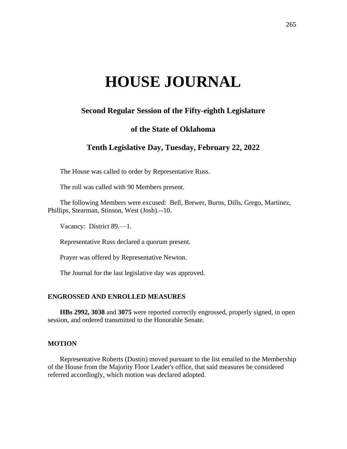# **HOUSE JOURNAL**

# **Second Regular Session of the Fifty-eighth Legislature**

## **of the State of Oklahoma**

# **Tenth Legislative Day, Tuesday, February 22, 2022**

The House was called to order by Representative Russ.

The roll was called with 90 Members present.

The following Members were excused: Bell, Brewer, Burns, Dills, Grego, Martinez, Phillips, Stearman, Stinson, West (Josh).--10.

Vacancy: District 89.—1.

Representative Russ declared a quorum present.

Prayer was offered by Representative Newton.

The Journal for the last legislative day was approved.

#### **ENGROSSED AND ENROLLED MEASURES**

**HBs 2992, 3038** and **3075** were reported correctly engrossed, properly signed, in open session, and ordered transmitted to the Honorable Senate.

## **MOTION**

Representative Roberts (Dustin) moved pursuant to the list emailed to the Membership of the House from the Majority Floor Leader's office, that said measures be considered referred accordingly, which motion was declared adopted.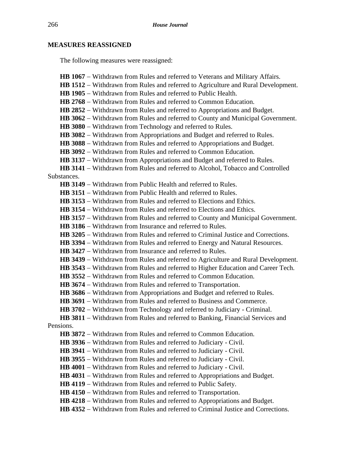# **MEASURES REASSIGNED**

The following measures were reassigned:

| HB 1067 - Withdrawn from Rules and referred to Veterans and Military Affairs.            |
|------------------------------------------------------------------------------------------|
| <b>HB 1512</b> – Withdrawn from Rules and referred to Agriculture and Rural Development. |
| <b>HB 1905</b> – Withdrawn from Rules and referred to Public Health.                     |
| <b>HB 2768</b> – Withdrawn from Rules and referred to Common Education.                  |
| HB 2852 - Withdrawn from Rules and referred to Appropriations and Budget.                |
| <b>HB 3062</b> – Withdrawn from Rules and referred to County and Municipal Government.   |
| HB 3080 - Withdrawn from Technology and referred to Rules.                               |
| <b>HB 3082</b> – Withdrawn from Appropriations and Budget and referred to Rules.         |
| HB 3088 – Withdrawn from Rules and referred to Appropriations and Budget.                |
| <b>HB 3092</b> – Withdrawn from Rules and referred to Common Education.                  |
| HB 3137 – Withdrawn from Appropriations and Budget and referred to Rules.                |
| HB 3141 - Withdrawn from Rules and referred to Alcohol, Tobacco and Controlled           |
| Substances.                                                                              |
| <b>HB 3149</b> – Withdrawn from Public Health and referred to Rules.                     |
| <b>HB 3151</b> – Withdrawn from Public Health and referred to Rules.                     |
| <b>HB 3153</b> – Withdrawn from Rules and referred to Elections and Ethics.              |
| <b>HB 3154</b> – Withdrawn from Rules and referred to Elections and Ethics.              |
| <b>HB 3157</b> – Withdrawn from Rules and referred to County and Municipal Government.   |
| <b>HB 3186</b> – Withdrawn from Insurance and referred to Rules.                         |
| <b>HB 3205</b> – Withdrawn from Rules and referred to Criminal Justice and Corrections.  |
| <b>HB 3394</b> – Withdrawn from Rules and referred to Energy and Natural Resources.      |
| <b>HB 3427</b> – Withdrawn from Insurance and referred to Rules.                         |
| HB 3439 - Withdrawn from Rules and referred to Agriculture and Rural Development.        |
| HB 3543 – Withdrawn from Rules and referred to Higher Education and Career Tech.         |
| <b>HB 3552</b> – Withdrawn from Rules and referred to Common Education.                  |
| <b>HB 3674</b> – Withdrawn from Rules and referred to Transportation.                    |
| <b>HB 3686</b> – Withdrawn from Appropriations and Budget and referred to Rules.         |
| <b>HB 3691</b> – Withdrawn from Rules and referred to Business and Commerce.             |
| HB 3702 – Withdrawn from Technology and referred to Judiciary - Criminal.                |
| HB 3811 – Withdrawn from Rules and referred to Banking, Financial Services and           |
| Pensions.                                                                                |
| <b>HB 3872</b> – Withdrawn from Rules and referred to Common Education.                  |
| <b>HB 3936</b> – Withdrawn from Rules and referred to Judiciary - Civil.                 |
| <b>HB 3941</b> – Withdrawn from Rules and referred to Judiciary - Civil.                 |
| <b>HB 3955</b> – Withdrawn from Rules and referred to Judiciary - Civil.                 |
| HB 4001 - Withdrawn from Rules and referred to Judiciary - Civil.                        |
| HB 4031 – Withdrawn from Rules and referred to Appropriations and Budget.                |
| <b>HB 4119</b> – Withdrawn from Rules and referred to Public Safety.                     |
| HB 4150 – Withdrawn from Rules and referred to Transportation.                           |
| HB 4218 – Withdrawn from Rules and referred to Appropriations and Budget.                |
| HB 4352 – Withdrawn from Rules and referred to Criminal Justice and Corrections.         |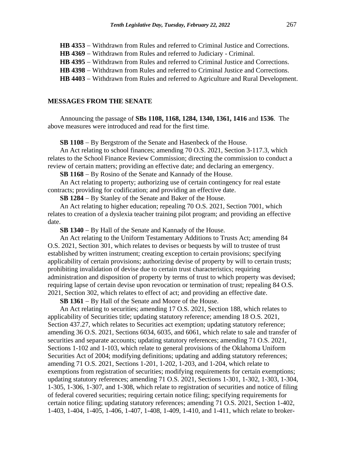- **HB 4353** − Withdrawn from Rules and referred to Criminal Justice and Corrections.
- **HB 4369** − Withdrawn from Rules and referred to Judiciary Criminal.
- **HB 4395** − Withdrawn from Rules and referred to Criminal Justice and Corrections.
- **HB 4398** − Withdrawn from Rules and referred to Criminal Justice and Corrections.
- **HB 4403** − Withdrawn from Rules and referred to Agriculture and Rural Development.

#### **MESSAGES FROM THE SENATE**

Announcing the passage of **SBs 1108, 1168, 1284, 1340, 1361, 1416** and **1536**. The above measures were introduced and read for the first time.

**SB 1108** − By Bergstrom of the Senate and Hasenbeck of the House.

An Act relating to school finances; amending 70 O.S. 2021, Section 3-117.3, which relates to the School Finance Review Commission; directing the commission to conduct a review of certain matters; providing an effective date; and declaring an emergency.

**SB 1168** − By Rosino of the Senate and Kannady of the House.

An Act relating to property; authorizing use of certain contingency for real estate contracts; providing for codification; and providing an effective date.

**SB 1284** − By Stanley of the Senate and Baker of the House.

An Act relating to higher education; repealing 70 O.S. 2021, Section 7001, which relates to creation of a dyslexia teacher training pilot program; and providing an effective date.

**SB 1340** − By Hall of the Senate and Kannady of the House.

An Act relating to the Uniform Testamentary Additions to Trusts Act; amending 84 O.S. 2021, Section 301, which relates to devises or bequests by will to trustee of trust established by written instrument; creating exception to certain provisions; specifying applicability of certain provisions; authorizing devise of property by will to certain trusts; prohibiting invalidation of devise due to certain trust characteristics; requiring administration and disposition of property by terms of trust to which property was devised; requiring lapse of certain devise upon revocation or termination of trust; repealing 84 O.S. 2021, Section 302, which relates to effect of act; and providing an effective date.

**SB 1361** − By Hall of the Senate and Moore of the House.

An Act relating to securities; amending 17 O.S. 2021, Section 188, which relates to applicability of Securities title; updating statutory reference; amending 18 O.S. 2021, Section 437.27, which relates to Securities act exemption; updating statutory reference; amending 36 O.S. 2021, Sections 6034, 6035, and 6061, which relate to sale and transfer of securities and separate accounts; updating statutory references; amending 71 O.S. 2021, Sections 1-102 and 1-103, which relate to general provisions of the Oklahoma Uniform Securities Act of 2004; modifying definitions; updating and adding statutory references; amending 71 O.S. 2021, Sections 1-201, 1-202, 1-203, and 1-204, which relate to exemptions from registration of securities; modifying requirements for certain exemptions; updating statutory references; amending 71 O.S. 2021, Sections 1-301, 1-302, 1-303, 1-304, 1-305, 1-306, 1-307, and 1-308, which relate to registration of securities and notice of filing of federal covered securities; requiring certain notice filing; specifying requirements for certain notice filing; updating statutory references; amending 71 O.S. 2021, Section 1-402, 1-403, 1-404, 1-405, 1-406, 1-407, 1-408, 1-409, 1-410, and 1-411, which relate to broker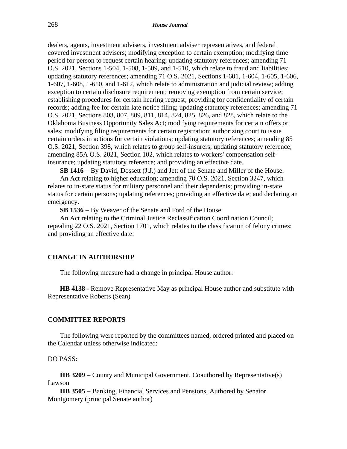dealers, agents, investment advisers, investment adviser representatives, and federal covered investment advisers; modifying exception to certain exemption; modifying time period for person to request certain hearing; updating statutory references; amending 71 O.S. 2021, Sections 1-504, 1-508, 1-509, and 1-510, which relate to fraud and liabilities; updating statutory references; amending 71 O.S. 2021, Sections 1-601, 1-604, 1-605, 1-606, 1-607, 1-608, 1-610, and 1-612, which relate to administration and judicial review; adding exception to certain disclosure requirement; removing exemption from certain service; establishing procedures for certain hearing request; providing for confidentiality of certain records; adding fee for certain late notice filing; updating statutory references; amending 71 O.S. 2021, Sections 803, 807, 809, 811, 814, 824, 825, 826, and 828, which relate to the Oklahoma Business Opportunity Sales Act; modifying requirements for certain offers or sales; modifying filing requirements for certain registration; authorizing court to issue certain orders in actions for certain violations; updating statutory references; amending 85 O.S. 2021, Section 398, which relates to group self-insurers; updating statutory reference; amending 85A O.S. 2021, Section 102, which relates to workers' compensation selfinsurance; updating statutory reference; and providing an effective date.

**SB 1416** − By David, Dossett (J.J.) and Jett of the Senate and Miller of the House.

An Act relating to higher education; amending 70 O.S. 2021, Section 3247, which relates to in-state status for military personnel and their dependents; providing in-state status for certain persons; updating references; providing an effective date; and declaring an emergency.

**SB 1536** − By Weaver of the Senate and Ford of the House.

An Act relating to the Criminal Justice Reclassification Coordination Council; repealing 22 O.S. 2021, Section 1701, which relates to the classification of felony crimes; and providing an effective date.

## **CHANGE IN AUTHORSHIP**

The following measure had a change in principal House author:

**HB 4138 -** Remove Representative May as principal House author and substitute with Representative Roberts (Sean)

## **COMMITTEE REPORTS**

The following were reported by the committees named, ordered printed and placed on the Calendar unless otherwise indicated:

DO PASS:

**HB 3209** − County and Municipal Government, Coauthored by Representative(s) Lawson

**HB 3505** − Banking, Financial Services and Pensions, Authored by Senator Montgomery (principal Senate author)